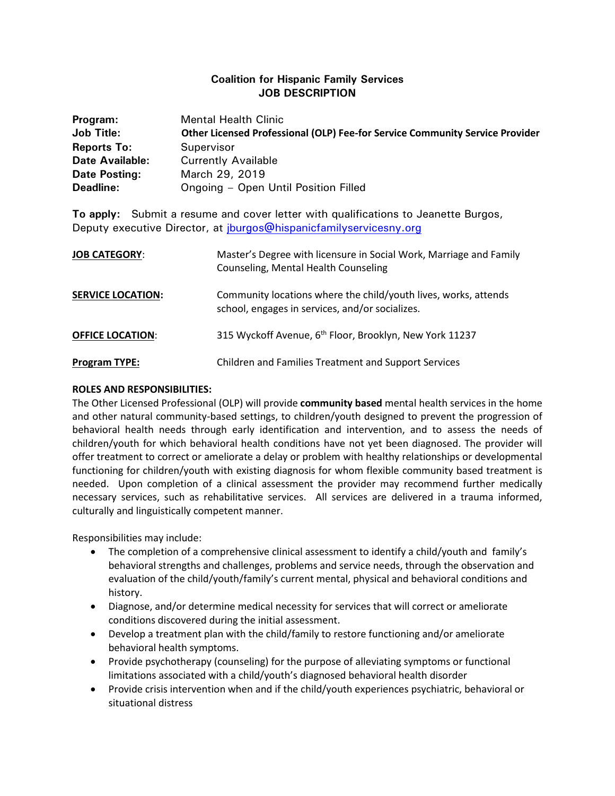## **Coalition for Hispanic Family Services JOB DESCRIPTION**

| Program:               | <b>Mental Health Clinic</b>                                                  |
|------------------------|------------------------------------------------------------------------------|
| <b>Job Title:</b>      | Other Licensed Professional (OLP) Fee-for Service Community Service Provider |
| <b>Reports To:</b>     | Supervisor                                                                   |
| <b>Date Available:</b> | <b>Currently Available</b>                                                   |
| Date Posting:          | March 29, 2019                                                               |
| Deadline:              | Ongoing - Open Until Position Filled                                         |

**To apply:** Submit a resume and cover letter with qualifications to Jeanette Burgos, Deputy executive Director, at [jburgos@hispanicfamilyservicesny.org](mailto:jburgos@hispanicfamilyservicesny.org)

| <b>JOB CATEGORY:</b>     | Master's Degree with licensure in Social Work, Marriage and Family<br>Counseling, Mental Health Counseling         |
|--------------------------|--------------------------------------------------------------------------------------------------------------------|
| <b>SERVICE LOCATION:</b> | Community locations where the child/youth lives, works, attends<br>school, engages in services, and/or socializes. |
| <b>OFFICE LOCATION:</b>  | 315 Wyckoff Avenue, 6 <sup>th</sup> Floor, Brooklyn, New York 11237                                                |
| <b>Program TYPE:</b>     | Children and Families Treatment and Support Services                                                               |

## **ROLES AND RESPONSIBILITIES:**

The Other Licensed Professional (OLP) will provide **community based** mental health services in the home and other natural community-based settings, to children/youth designed to prevent the progression of behavioral health needs through early identification and intervention, and to assess the needs of children/youth for which behavioral health conditions have not yet been diagnosed. The provider will offer treatment to correct or ameliorate a delay or problem with healthy relationships or developmental functioning for children/youth with existing diagnosis for whom flexible community based treatment is needed. Upon completion of a clinical assessment the provider may recommend further medically necessary services, such as rehabilitative services. All services are delivered in a trauma informed, culturally and linguistically competent manner.

Responsibilities may include:

- The completion of a comprehensive clinical assessment to identify a child/youth and family's behavioral strengths and challenges, problems and service needs, through the observation and evaluation of the child/youth/family's current mental, physical and behavioral conditions and history.
- Diagnose, and/or determine medical necessity for services that will correct or ameliorate conditions discovered during the initial assessment.
- Develop a treatment plan with the child/family to restore functioning and/or ameliorate behavioral health symptoms.
- Provide psychotherapy (counseling) for the purpose of alleviating symptoms or functional limitations associated with a child/youth's diagnosed behavioral health disorder
- Provide crisis intervention when and if the child/youth experiences psychiatric, behavioral or situational distress